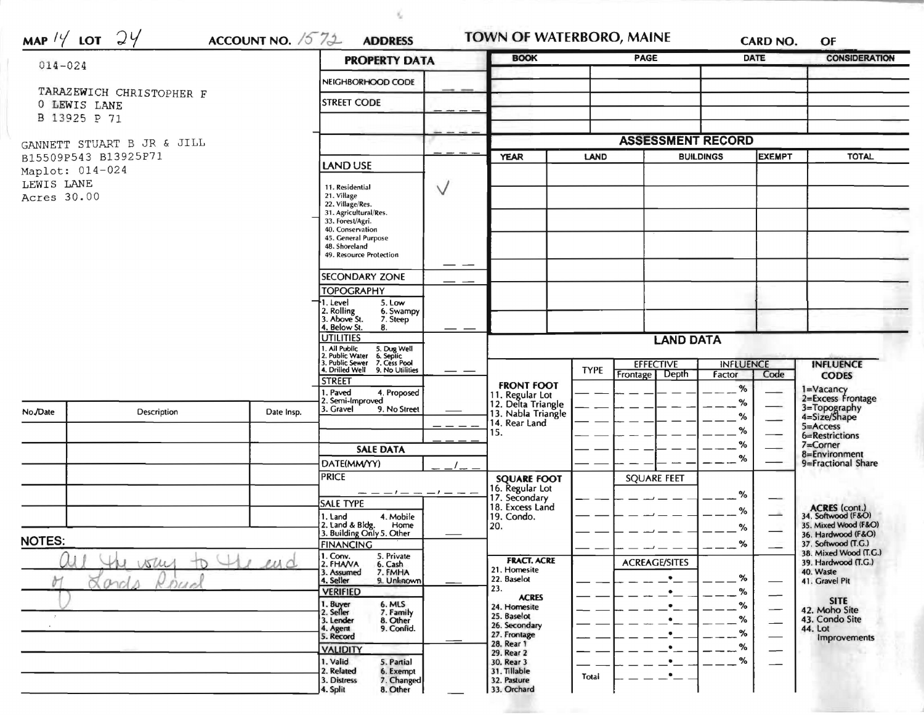| $014 - 024$                                                                                        |                          |                    | <b>PROPERTY DATA</b>                                                                                                                       |              | <b>BOOK</b>                                                                      |                          | PAGE                                 |                   | <b>DATE</b>                    | <b>CONSIDERATION</b>                                           |  |
|----------------------------------------------------------------------------------------------------|--------------------------|--------------------|--------------------------------------------------------------------------------------------------------------------------------------------|--------------|----------------------------------------------------------------------------------|--------------------------|--------------------------------------|-------------------|--------------------------------|----------------------------------------------------------------|--|
|                                                                                                    |                          | NEIGHBORHOOD CODE  |                                                                                                                                            |              |                                                                                  |                          |                                      |                   |                                |                                                                |  |
|                                                                                                    | TARAZEWICH CHRISTOPHER F | <b>STREET CODE</b> |                                                                                                                                            |              |                                                                                  |                          |                                      |                   |                                |                                                                |  |
| O LEWIS LANE<br>B 13925 P 71                                                                       |                          |                    |                                                                                                                                            |              |                                                                                  |                          |                                      |                   |                                |                                                                |  |
|                                                                                                    |                          |                    |                                                                                                                                            |              |                                                                                  |                          |                                      |                   |                                |                                                                |  |
| GANNETT STUART B JR & JILL<br>B15509P543 B13925P71<br>Maplot: 014-024<br>LEWIS LANE<br>Acres 30.00 |                          |                    |                                                                                                                                            |              | <b>ASSESSMENT RECORD</b>                                                         |                          |                                      |                   |                                |                                                                |  |
|                                                                                                    |                          |                    | LAND USE                                                                                                                                   | $\vee$<br>—— | <b>YEAR</b>                                                                      | LAND<br><b>BUILDINGS</b> |                                      | <b>EXEMPT</b>     |                                | <b>TOTAL</b>                                                   |  |
|                                                                                                    |                          |                    | 11. Residential<br>21. Village<br>22. Village/Res.<br>31. Agricultural/Res.<br>33. Forest/Agri.<br>40. Conservation<br>45. General Purpose |              |                                                                                  |                          |                                      |                   |                                |                                                                |  |
|                                                                                                    |                          |                    | 48. Shoreland<br>49. Resource Protection                                                                                                   |              |                                                                                  |                          |                                      |                   |                                |                                                                |  |
|                                                                                                    |                          |                    | <b>SECONDARY ZONE</b>                                                                                                                      |              |                                                                                  |                          |                                      |                   |                                |                                                                |  |
|                                                                                                    |                          |                    | <b>TOPOGRAPHY</b><br>1. Level<br>5. Low<br>2. Rolling<br>3. Above St.<br>6. Swampy<br>7. Steep<br>4. Below St.<br>8.                       |              |                                                                                  |                          |                                      |                   |                                |                                                                |  |
|                                                                                                    |                          |                    | <b>UTILITIES</b>                                                                                                                           |              |                                                                                  |                          | <b>LAND DATA</b>                     |                   |                                |                                                                |  |
|                                                                                                    |                          |                    | . All Public<br>5. Dug Well<br>6. Septic<br>7. Cess Pool                                                                                   |              |                                                                                  |                          | <b>EFFECTIVE</b><br><b>INFLUENCE</b> |                   |                                | <b>INFLUENCE</b>                                               |  |
|                                                                                                    |                          |                    | 4. Drilled Well<br>9. No Utilities<br><b>STREET</b>                                                                                        |              |                                                                                  | <b>TYPE</b>              | Frontage   Depth                     | Factor            | Code                           | <b>CODES</b>                                                   |  |
| No./Date                                                                                           | <b>Description</b>       | Date Insp.         | 4. Proposed<br>I. Paved<br>2. Semi-Improved<br>3. Gravel<br>9. No Street                                                                   |              | <b>FRONT FOOT</b><br>11. Regular Lot<br>12. Delta Triangle<br>13. Nabla Triangle |                          |                                      | %<br>$\%$<br>$\%$ |                                | 1=Vacancy<br>2=Excess Frontage<br>3=Topography<br>4=Size/Shape |  |
|                                                                                                    |                          |                    |                                                                                                                                            |              | 14. Rear Land<br>15.                                                             |                          |                                      | $\%$              |                                | 5=Access                                                       |  |
|                                                                                                    |                          |                    | <b>SALE DATA</b>                                                                                                                           |              |                                                                                  |                          |                                      | $\%$<br>%         | 6=Restrictions<br>$7 =$ Corner |                                                                |  |
|                                                                                                    |                          |                    | DATE(MM/YY)                                                                                                                                |              |                                                                                  |                          |                                      |                   |                                | 8=Environment<br>9=Fractional Share                            |  |
|                                                                                                    |                          |                    | <b>PRICE</b>                                                                                                                               |              | <b>SQUARE FOOT</b>                                                               |                          | <b>SQUARE FEET</b>                   |                   |                                |                                                                |  |
|                                                                                                    |                          |                    |                                                                                                                                            |              | 16. Regular Lot<br>17. Secondary                                                 |                          |                                      | %                 | $-$                            |                                                                |  |
|                                                                                                    |                          |                    | <b>SALE TYPE</b><br>1. Land<br>4. Mobile                                                                                                   |              | 18. Excess Land<br>19. Condo.                                                    |                          |                                      | %                 | تقاسم                          | ACRES (cont.)<br>34. Softwood (F&O)                            |  |
|                                                                                                    |                          |                    | 2. Land & Bldg. Home<br>3. Building Only 5. Other<br>Home                                                                                  |              | 20.                                                                              |                          |                                      | $\%$              |                                | 35. Mixed Wood (F&O)<br>36. Hardwood (F&O)                     |  |
| <b>NOTES:</b>                                                                                      |                          |                    | FINANCING                                                                                                                                  |              |                                                                                  |                          |                                      | %                 |                                | 37. Softwood (T.G.)                                            |  |
| ww<br>$\mu\Lambda$<br>100<br>0 <i>00</i>                                                           |                          |                    | $1.$ Conv.<br>5. Private<br>2. FHANA<br>6. Cash<br>3. Assumed<br>7. FMHA                                                                   |              | <b>FRACT. ACRE</b><br>21. Homesite                                               |                          | <b>ACREAGE/SITES</b>                 |                   |                                | 38. Mixed Wood (T.G.)<br>39. Hardwood (T.G.)<br>40. Waste      |  |
|                                                                                                    |                          |                    | 4. Seller<br>9. Unknown                                                                                                                    |              | 22. Baselot<br>23.                                                               |                          | $\bullet$                            | %                 |                                | 41. Gravel Pit                                                 |  |
|                                                                                                    |                          |                    | <b>VERIFIED</b><br>6. MLS                                                                                                                  |              | <b>ACRES</b>                                                                     |                          |                                      | %<br>%            |                                | <b>SITE</b>                                                    |  |
|                                                                                                    |                          |                    | 1. Buyer<br>2. Seller<br>7. Family<br>3. Lender<br>8. Other                                                                                |              | 24. Homesite<br>25. Baselot                                                      |                          |                                      | %                 |                                | 42. Moho Site<br>43. Condo Site                                |  |
|                                                                                                    |                          |                    | 9. Confid.<br>4. Agent<br>5. Record                                                                                                        |              | 26. Secondary<br>27. Frontage                                                    |                          |                                      | %                 |                                | 44. Lot<br>Improvements                                        |  |
|                                                                                                    |                          |                    | <b>VALIDITY</b>                                                                                                                            |              | 28. Rear 1<br>29. Rear 2                                                         |                          |                                      | %                 |                                |                                                                |  |
|                                                                                                    |                          |                    | 1. Valid<br>5. Partial                                                                                                                     |              | 30. Rear 3<br>31. Tillable                                                       |                          |                                      | %                 |                                |                                                                |  |

 $\tilde{\tau}_{\rm c}$